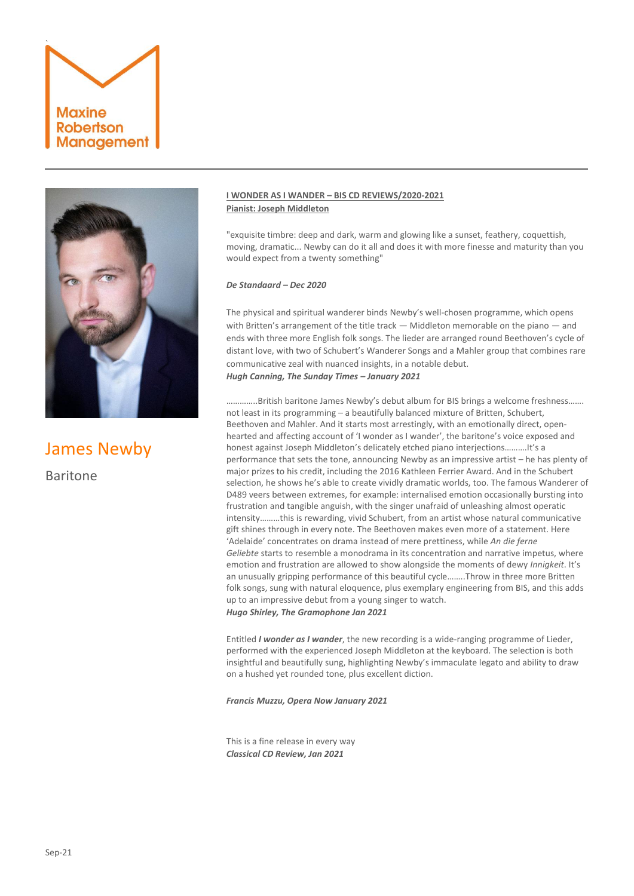# **Maxine Robertson Management**

`



James Newby Baritone

#### **I WONDER AS I WANDER – BIS CD REVIEWS/2020-2021 Pianist: Joseph Middleton**

"exquisite timbre: deep and dark, warm and glowing like a sunset, feathery, coquettish, moving, dramatic... Newby can do it all and does it with more finesse and maturity than you would expect from a twenty something"

#### *De Standaard – Dec 2020*

The physical and spiritual wanderer binds Newby's well-chosen programme, which opens with Britten's arrangement of the title track — Middleton memorable on the piano — and ends with three more English folk songs. The lieder are arranged round Beethoven's cycle of distant love, with two of Schubert's Wanderer Songs and a Mahler group that combines rare communicative zeal with nuanced insights, in a notable debut. *Hugh Canning, The Sunday Times – January 2021*

…………..British baritone James Newby's debut album for BIS brings a welcome freshness……. not least in its programming – a beautifully balanced mixture of Britten, Schubert, Beethoven and Mahler. And it starts most arrestingly, with an emotionally direct, openhearted and affecting account of 'I wonder as I wander', the baritone's voice exposed and honest against Joseph Middleton's delicately etched piano interjections……….It's a performance that sets the tone, announcing Newby as an impressive artist – he has plenty of major prizes to his credit, including the 2016 Kathleen Ferrier Award. And in the Schubert selection, he shows he's able to create vividly dramatic worlds, too. The famous Wanderer of D489 veers between extremes, for example: internalised emotion occasionally bursting into frustration and tangible anguish, with the singer unafraid of unleashing almost operatic intensity………this is rewarding, vivid Schubert, from an artist whose natural communicative gift shines through in every note. The Beethoven makes even more of a statement. Here 'Adelaide' concentrates on drama instead of mere prettiness, while *An die ferne Geliebte* starts to resemble a monodrama in its concentration and narrative impetus, where emotion and frustration are allowed to show alongside the moments of dewy *Innigkeit*. It's an unusually gripping performance of this beautiful cycle……..Throw in three more Britten folk songs, sung with natural eloquence, plus exemplary engineering from BIS, and this adds up to an impressive debut from a young singer to watch. *Hugo Shirley, The Gramophone Jan 2021*

Entitled *I wonder as I wander*, the new recording is a wide-ranging programme of Lieder, performed with the experienced Joseph Middleton at the keyboard. The selection is both insightful and beautifully sung, highlighting Newby's immaculate legato and ability to draw on a hushed yet rounded tone, plus excellent diction.

*Francis Muzzu, Opera Now January 2021*

This is a fine release in every way *Classical CD Review, Jan 2021*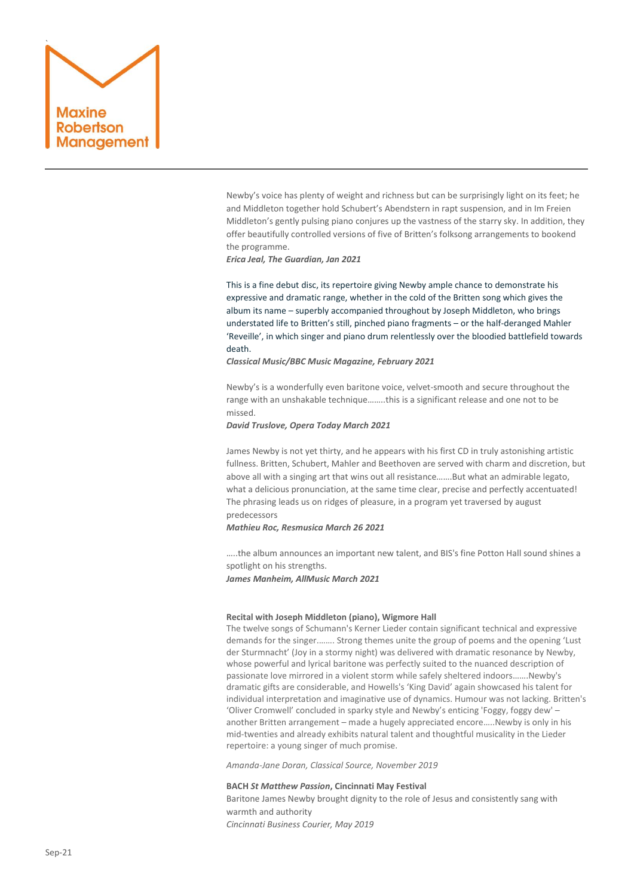

Newby's voice has plenty of weight and richness but can be surprisingly light on its feet; he and Middleton together hold Schubert's Abendstern in rapt suspension, and in Im Freien Middleton's gently pulsing piano conjures up the vastness of the starry sky. In addition, they offer beautifully controlled versions of five of Britten's folksong arrangements to bookend the programme.

*Erica Jeal, The Guardian, Jan 2021*

This is a fine debut disc, its repertoire giving Newby ample chance to demonstrate his expressive and dramatic range, whether in the cold of the Britten song which gives the album its name – superbly accompanied throughout by Joseph Middleton, who brings understated life to Britten's still, pinched piano fragments – or the half-deranged Mahler 'Reveille', in which singer and piano drum relentlessly over the bloodied battlefield towards death.

*Classical Music/BBC Music Magazine, February 2021*

Newby's is a wonderfully even baritone voice, velvet-smooth and secure throughout the range with an unshakable technique……..this is a significant release and one not to be missed.

#### *David Truslove, Opera Today March 2021*

James Newby is not yet thirty, and he appears with his first CD in truly astonishing artistic fullness. Britten, Schubert, Mahler and Beethoven are served with charm and discretion, but above all with a singing art that wins out all resistance…….But what an admirable legato, what a delicious pronunciation, at the same time clear, precise and perfectly accentuated! The phrasing leads us on ridges of pleasure, in a program yet traversed by august predecessors

*Mathieu Roc, Resmusica March 26 2021*

…..the album announces an important new talent, and BIS's fine Potton Hall sound shines a spotlight on his strengths. *James Manheim, AllMusic March 2021*

#### **Recital with Joseph Middleton (piano), Wigmore Hall**

The twelve songs of Schumann's Kerner Lieder contain significant technical and expressive demands for the singer.……. Strong themes unite the group of poems and the opening 'Lust der Sturmnacht' (Joy in a stormy night) was delivered with dramatic resonance by Newby, whose powerful and lyrical baritone was perfectly suited to the nuanced description of passionate love mirrored in a violent storm while safely sheltered indoors…….Newby's dramatic gifts are considerable, and Howells's 'King David' again showcased his talent for individual interpretation and imaginative use of dynamics. Humour was not lacking. Britten's 'Oliver Cromwell' concluded in sparky style and Newby's enticing 'Foggy, foggy dew' – another Britten arrangement – made a hugely appreciated encore…..Newby is only in his mid-twenties and already exhibits natural talent and thoughtful musicality in the Lieder repertoire: a young singer of much promise.

*Amanda-Jane Doran, Classical Source, November 2019*

#### **BACH** *St Matthew Passion***, Cincinnati May Festival**

Baritone James Newby brought dignity to the role of Jesus and consistently sang with warmth and authority *Cincinnati Business Courier, May 2019*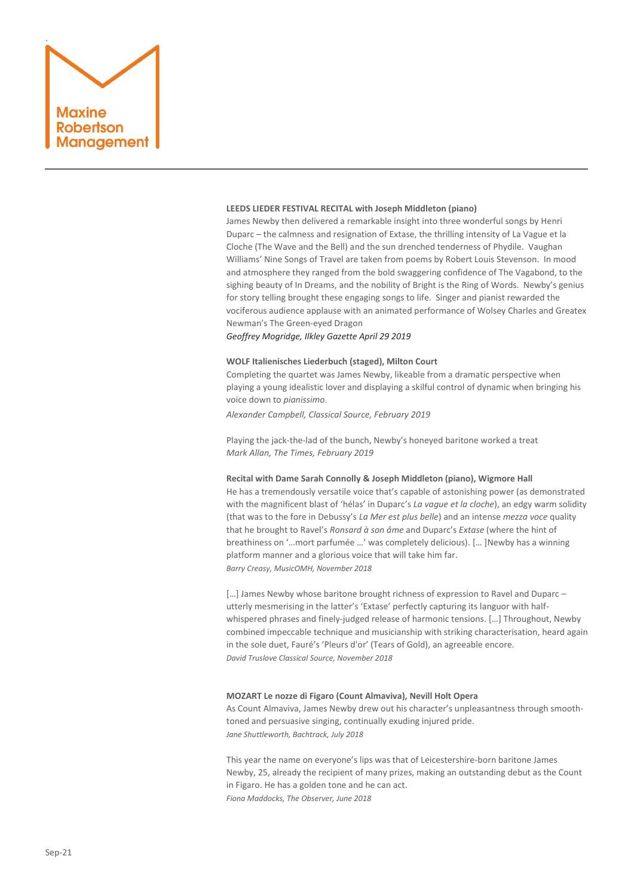

#### **LEEDS LIEDER FESTIVAL RECITAL with Joseph Middleton (piano)**

James Newby then delivered a remarkable insight into three wonderful songs by Henri Duparc – the calmness and resignation of Extase, the thrilling intensity of La Vague et la Cloche (The Wave and the Bell) and the sun drenched tenderness of Phydile. Vaughan Williams' Nine Songs of Travel are taken from poems by Robert Louis Stevenson. In mood and atmosphere they ranged from the bold swaggering confidence of The Vagabond, to the sighing beauty of In Dreams, and the nobility of Bright is the Ring of Words. Newby's genius for story telling brought these engaging songs to life. Singer and pianist rewarded the vociferous audience applause with an animated performance of Wolsey Charles and Greatex Newman's The Green-eyed Dragon

*Geoffrey Mogridge, Ilkley Gazette April 29 2019*

#### **WOLF Italienisches Liederbuch (staged), Milton Court**

Completing the quartet was James Newby, likeable from a dramatic perspective when playing a young idealistic lover and displaying a skilful control of dynamic when bringing his voice down to *pianissimo*.

*Alexander Campbell, Classical Source, February 2019*

Playing the jack-the-lad of the bunch, Newby's honeyed baritone worked a treat *Mark Allan, The Times, February 2019*

### **Recital with Dame Sarah Connolly & Joseph Middleton (piano), Wigmore Hall**

He has a tremendously versatile voice that's capable of astonishing power (as demonstrated with the magnificent blast of 'hélas' in Duparc's *La vague et la cloche*), an edgy warm solidity (that was to the fore in Debussy's *La Mer est plus belle*) and an intense *mezza voce* quality that he brought to Ravel's *Ronsard à son âme* and Duparc's *Extase* (where the hint of breathiness on '…mort parfumée …' was completely delicious). [… ]Newby has a winning platform manner and a glorious voice that will take him far. *Barry Creasy, MusicOMH, November 2018*

[…] James Newby whose baritone brought richness of expression to Ravel and Duparc – utterly mesmerising in the latter's 'Extase' perfectly capturing its languor with halfwhispered phrases and finely-judged release of harmonic tensions. […] Throughout, Newby combined impeccable technique and musicianship with striking characterisation, heard again in the sole duet, Fauré's 'Pleurs d'or' (Tears of Gold), an agreeable encore. *David Truslove Classical Source, November 2018*

#### **MOZART Le nozze di Figaro (Count Almaviva), Nevill Holt Opera**

As Count Almaviva, James Newby drew out his character's unpleasantness through smoothtoned and persuasive singing, continually exuding injured pride. *Jane Shuttleworth, Bachtrack, July 2018*

This year the name on everyone's lips was that of Leicestershire-born baritone James Newby, 25, already the recipient of many prizes, making an outstanding debut as the Count in Figaro. He has a golden tone and he can act. *Fiona Maddocks, The Observer, June 2018*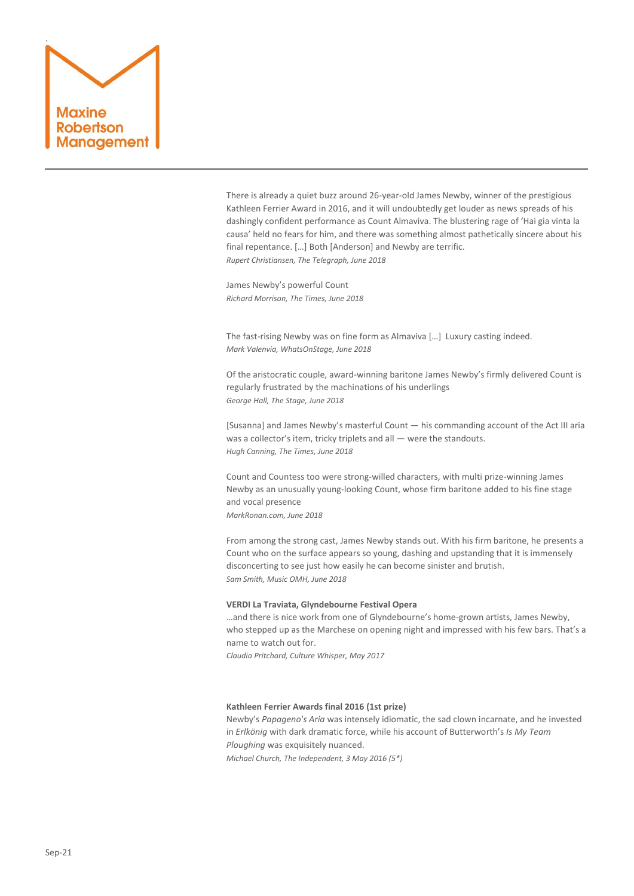

There is already a quiet buzz around 26-year-old James Newby, winner of the prestigious Kathleen Ferrier Award in 2016, and it will undoubtedly get louder as news spreads of his dashingly confident performance as Count Almaviva. The blustering rage of 'Hai gia vinta la causa' held no fears for him, and there was something almost pathetically sincere about his final repentance. […] Both [Anderson] and Newby are terrific. *Rupert Christiansen, The Telegraph, June 2018*

James Newby's powerful Count *Richard Morrison, The Times, June 2018*

The fast-rising Newby was on fine form as Almaviva […] Luxury casting indeed. *Mark Valenvia, WhatsOnStage, June 2018*

Of the aristocratic couple, award-winning baritone James Newby's firmly delivered Count is regularly frustrated by the machinations of his underlings *George Hall, The Stage, June 2018*

[Susanna] and James Newby's masterful Count — his commanding account of the Act III aria was a collector's item, tricky triplets and all — were the standouts. *Hugh Canning, The Times, June 2018*

Count and Countess too were strong-willed characters, with multi prize-winning James Newby as an unusually young-looking Count, whose firm baritone added to his fine stage and vocal presence *MarkRonan.com, June 2018*

From among the strong cast, James Newby stands out. With his firm baritone, he presents a Count who on the surface appears so young, dashing and upstanding that it is immensely disconcerting to see just how easily he can become sinister and brutish. *Sam Smith, Music OMH, June 2018*

#### **VERDI La Traviata, Glyndebourne Festival Opera**

…and there is nice work from one of Glyndebourne's home-grown artists, James Newby, who stepped up as the Marchese on opening night and impressed with his few bars. That's a name to watch out for.

*Claudia Pritchard, Culture Whisper, May 2017*

#### **Kathleen Ferrier Awards final 2016 (1st prize)**

Newby's *Papageno's Aria* was intensely idiomatic, the sad clown incarnate, and he invested in *Erlkönig* with dark dramatic force, while his account of Butterworth's *Is My Team Ploughing* was exquisitely nuanced. *Michael Church, The Independent, 3 May 2016 (5\*)*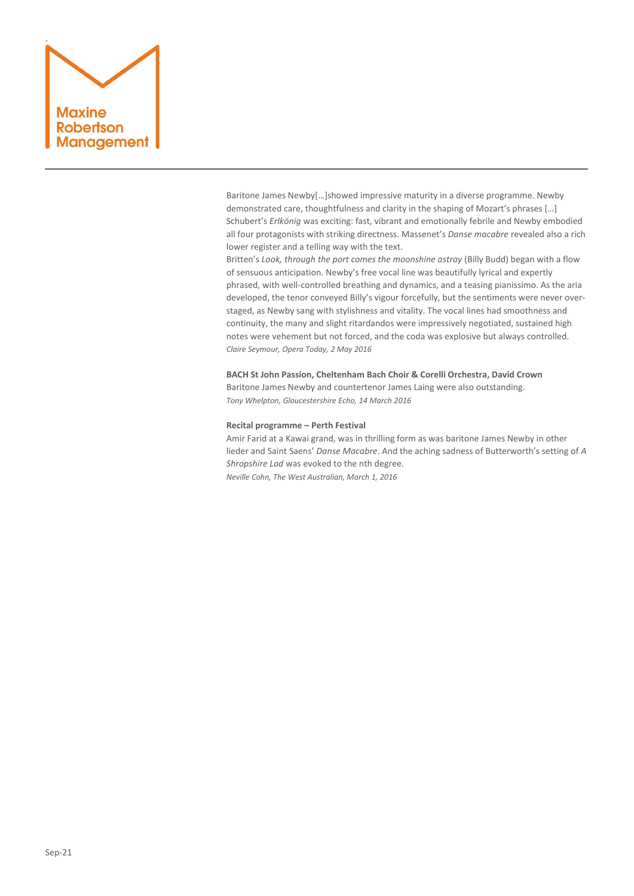## ` **Maxine** Robertson Management

Baritone James Newby[…]showed impressive maturity in a diverse programme. Newby demonstrated care, thoughtfulness and clarity in the shaping of Mozart's phrases […] Schubert's *Erlkönig* was exciting: fast, vibrant and emotionally febrile and Newby embodied all four protagonists with striking directness. Massenet's *Danse macabre* revealed also a rich lower register and a telling way with the text.

Britten's *Look, through the port comes the moonshine astray* (Billy Budd) began with a flow of sensuous anticipation. Newby's free vocal line was beautifully lyrical and expertly phrased, with well-controlled breathing and dynamics, and a teasing pianissimo. As the aria developed, the tenor conveyed Billy's vigour forcefully, but the sentiments were never overstaged, as Newby sang with stylishness and vitality. The vocal lines had smoothness and continuity, the many and slight ritardandos were impressively negotiated, sustained high notes were vehement but not forced, and the coda was explosive but always controlled. *Claire Seymour, Opera Today, 2 May 2016*

**BACH St John Passion, Cheltenham Bach Choir & Corelli Orchestra, David Crown** Baritone James Newby and countertenor James Laing were also outstanding. *Tony Whelpton, Gloucestershire Echo, 14 March 2016*

#### **Recital programme – Perth Festival**

Amir Farid at a Kawai grand, was in thrilling form as was baritone James Newby in other lieder and Saint Saens' *Danse Macabre*. And the aching sadness of Butterworth's setting of *A Shropshire Lad* was evoked to the nth degree. *Neville Cohn, The West Australian, March 1, 2016*